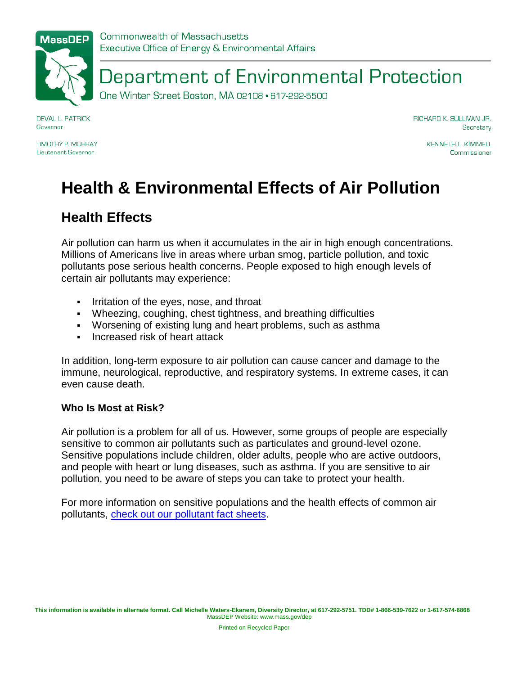# Department of Environmental Protection

One Winter Street Boston, MA 02108 · 617-292-5500

**DEVAL L. PATRICK** Governor

TIMOTHY P MI IRRAY Lieutenant Governor

RICHARD K. SULLIVAN JR. Secretary

> **KENNETH L. KIMMELL** Commissioner

# **Health & Environmental Effects of Air Pollution**

### **Health Effects**

Air pollution can harm us when it accumulates in the air in high enough concentrations. Millions of Americans live in areas where urban smog, particle pollution, and toxic pollutants pose serious health concerns. People exposed to high enough levels of certain air pollutants may experience:

- Irritation of the eyes, nose, and throat
- Wheezing, coughing, chest tightness, and breathing difficulties
- Worsening of existing lung and heart problems, such as asthma
- **Increased risk of heart attack**

In addition, long-term exposure to air pollution can cause cancer and damage to the immune, neurological, reproductive, and respiratory systems. In extreme cases, it can even cause death.

#### **Who Is Most at Risk?**

Air pollution is a problem for all of us. However, some groups of people are especially sensitive to common air pollutants such as particulates and ground-level ozone. Sensitive populations include children, older adults, people who are active outdoors, and people with heart or lung diseases, such as asthma. If you are sensitive to air pollution, you need to be aware of steps you can take to protect your health.

For more information on sensitive populations and the health effects of common air pollutants, [check out our pollutant fact sheets.](http://www.mass.gov/eea/agencies/massdep/air/quality/air-pollutants-and-toxics.html)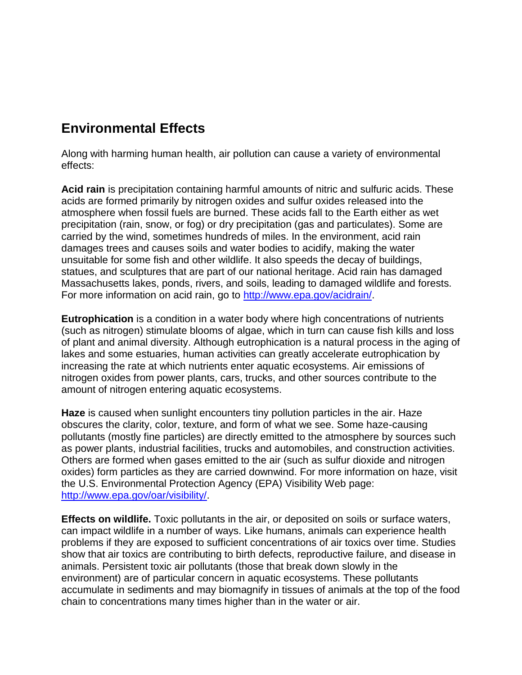### **Environmental Effects**

Along with harming human health, air pollution can cause a variety of environmental effects:

**Acid rain** is precipitation containing harmful amounts of nitric and sulfuric acids. These acids are formed primarily by nitrogen oxides and sulfur oxides released into the atmosphere when fossil fuels are burned. These acids fall to the Earth either as wet precipitation (rain, snow, or fog) or dry precipitation (gas and particulates). Some are carried by the wind, sometimes hundreds of miles. In the environment, acid rain damages trees and causes soils and water bodies to acidify, making the water unsuitable for some fish and other wildlife. It also speeds the decay of buildings, statues, and sculptures that are part of our national heritage. Acid rain has damaged Massachusetts lakes, ponds, rivers, and soils, leading to damaged wildlife and forests. For more information on acid rain, go to [http://www.epa.gov/acidrain/.](http://www.epa.gov/acidrain/)

**Eutrophication** is a condition in a water body where high concentrations of nutrients (such as nitrogen) stimulate blooms of algae, which in turn can cause fish kills and loss of plant and animal diversity. Although eutrophication is a natural process in the aging of lakes and some estuaries, human activities can greatly accelerate eutrophication by increasing the rate at which nutrients enter aquatic ecosystems. Air emissions of nitrogen oxides from power plants, cars, trucks, and other sources contribute to the amount of nitrogen entering aquatic ecosystems.

**Haze** is caused when sunlight encounters tiny pollution particles in the air. Haze obscures the clarity, color, texture, and form of what we see. Some haze-causing pollutants (mostly fine particles) are directly emitted to the atmosphere by sources such as power plants, industrial facilities, trucks and automobiles, and construction activities. Others are formed when gases emitted to the air (such as sulfur dioxide and nitrogen oxides) form particles as they are carried downwind. For more information on haze, visit the U.S. Environmental Protection Agency (EPA) Visibility Web page: [http://www.epa.gov/oar/visibility/.](http://www.epa.gov/oar/visibility/)

**Effects on wildlife.** Toxic pollutants in the air, or deposited on soils or surface waters, can impact wildlife in a number of ways. Like humans, animals can experience health problems if they are exposed to sufficient concentrations of air toxics over time. Studies show that air toxics are contributing to birth defects, reproductive failure, and disease in animals. Persistent toxic air pollutants (those that break down slowly in the environment) are of particular concern in aquatic ecosystems. These pollutants accumulate in sediments and may biomagnify in tissues of animals at the top of the food chain to concentrations many times higher than in the water or air.